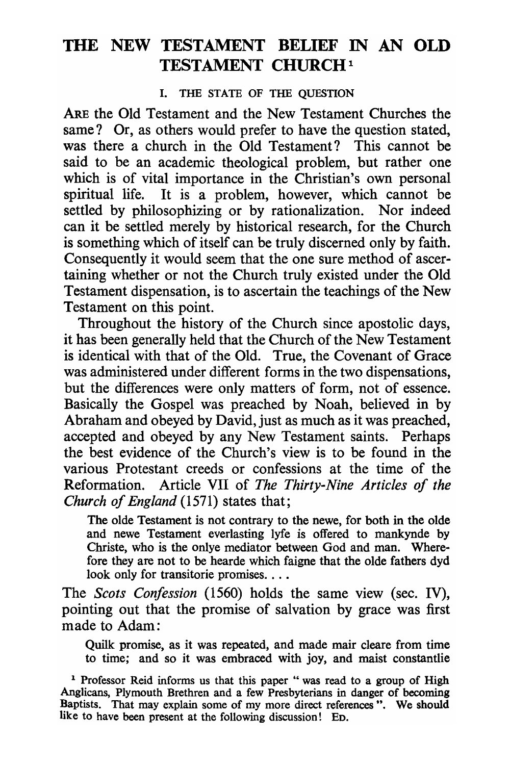# **THE NEW TESTAMENT BELIEF IN AN OLD TESTAMENT CHURCH<sup>1</sup>**

### I. THE STATE OF THE QUESTION

ARE the Old Testament and the New Testament Churches the same? Or, as others would prefer to have the question stated, was there a church in the Old Testament? This cannot be said to be an academic theological problem, but rather one which is of vital importance in the Christian's own personal spiritual life. It is a problem, however, which cannot be settled by philosophizing or by rationalization. Nor indeed can it be settled merely by historical research, for the Church is something which of itself can be truly discerned only by faith. Consequently it would seem that the one sure method of ascertaining whether or not the Church truly existed under the Old Testament dispensation, is to ascertain the teachings of the New Testament on this point.

Throughout the history of the Church since apostolic days, it has been generally held that the Church of the New Testament is identical with that of the Old. True, the Covenant of Grace was administered under different forms in the two dispensations, but the differences were only matters of form, not of essence. Basically the Gospel was preached by Noah, believed in by Abraham and obeyed by David, just as much as it was preached, accepted and obeyed by any New Testament saints. Perhaps the best evidence of the Church's view is to be found in the various Protestant creeds or confessions at the time of the Reformation. Article VII of *The Thirty-Nine Articles of the Church of England* (1571) states that;

The olde Testament is not contrary to the newe, for both in the olde and newe Testament everlasting lyfe is offered to mankynde by Christe, who is the onlye mediator between God and man. Wherefore they are not to be hearde which faigne that the olde fathers dyd look only for transitorie promises. . . .

The *Scots Confession* (1560) holds the same view (sec. IV), pointing out that the promise of salvation by grace was first made to Adam:

Quilk promise, as it was repeated, and made mair cleare from time to time; and so it was embraced with joy, and maist constantlie

 $1$  Professor Reid informs us that this paper " was read to a group of High Anglicans, Plymouth Brethren and a few Presbyterians in danger of becoming Baptists. That may explain some of my more direct references". We should like to have been present at the following discussion! Eo.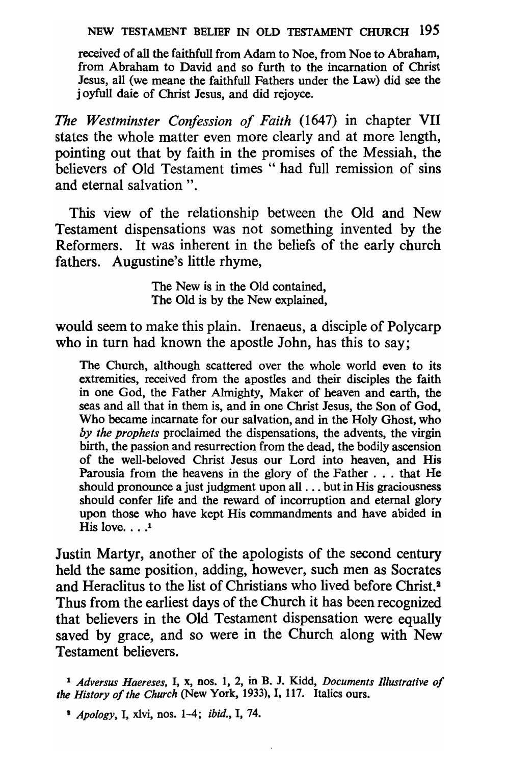#### NEW TESTAMENT BELIEF IN OLD TESTAMENT CHURCH 195

received of all the faithfull from Adam to Noe, from Noe to Abraham, from Abraham to David and so furth to the incarnation of Christ Jesus, all (we meane the faithfull Fathers under the Law) did see the j oyfull daie of Christ Jesus, and did rejoyce.

*The Westminster Confession of Faith* (1647) in chapter VII states the whole matter even more clearly and at more length, pointing out that by faith in the promises of the Messiah, the believers of Old Testament times " had full remission of sins and eternal salvation".

This view of the relationship between the Old and New Testament dispensations was not something invented by the Reformers. It was inherent in the beliefs of the early church fathers. Augustine's little rhyme,

> The New is in the Old contained, The Old is by the New explained,

would seem to make this plain. Irenaeus, a disciple of Polycarp who in turn had known the apostle John, has this to say:

The Church, although scattered over the whole world even to its extremities, received from the apostles and their disciples the faith in one God, the Father Almighty, Maker of heaven and earth, the seas and all that in them is, and in one Christ Jesus, the Son of God, Who became incarnate for our salvation, and in the Holy Ghost, who *by the prophets* proclaimed the dispensations, the advents, the virgin birth, the passion and resurrection from the dead, the bodily ascension of the well-beloved Christ Jesus our Lord into heaven, and His Parousia from the heavens in the glory of the Father . . . that He should pronounce a just judgment upon all ... but in His graciousness should confer life and the reward of incorruption and eternal glory upon those who have kept His commandments and have abided in His love.  $\ldots$ <sup>1</sup>

Justin Martyr, another of the apologists of the second century held the same position, adding, however, such men as Socrates and Heraclitus to the list of Christians who lived before Christ. 2 Thus from the earliest days of the Church it has been recognized that believers in the Old Testament dispensation were equally saved by grace, and so were in the Church along with New Testament believers.

<sup>1</sup>*Adversus Haereses,* I, x, nos. 1, 2, in B. J. Kldd, *Documents Illustrative of the History of the Church* (New York, 1933), I, 117. Italics ours.

e *Apology,* I, xlvi, nos. 1-4; *ibid.,* I, 74.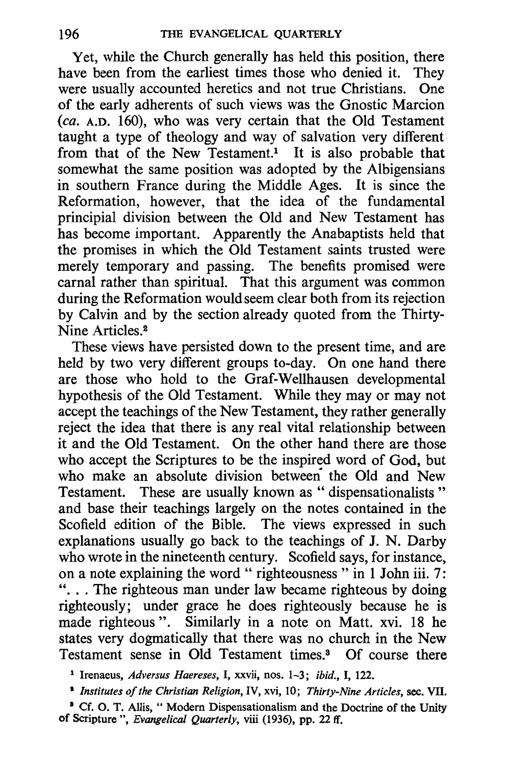Yet, while the Church generally has held this position, there have been from the earliest times those who denied it. They were usually accounted heretics and not true Christians. One of the early adherents of such views was the Gnostic Marcion *(ca.* A.D. 160), who was very certain that the Old Testament taught a type of theology and way of salvation very different from that of the New Testament.<sup>1</sup> It is also probable that somewhat the same position was adopted by the Albigensians in southern France during the Middle Ages. It is since the Reformation, however, that the idea of the fundamental principial division between the Old and New Testament has has become important. Apparently the Anabaptists held that the promises in which the Old Testament saints trusted were merely temporary and passing. The benefits promised were carnal rather than spiritual. That this argument was common during the Reformation would seem clear both from its rejection by Calvin and by the section already quoted from the Thirty-Nine Articles.2

These views have persisted down to the present time, and are held by two very different groups to-day. On one hand there are those who hold to the Graf-Wellhausen developmental hypothesis of the Old Testament. While they mayor may not accept the teachings of the New Testament, they rather generally reject the idea that there is any real vital relationship between it and the Old Testament. On the other hand there are those who accept the Scriptures to be the inspired word of God, but who make an absolute division between the Old and New Testament. These are usually known as " dispensationalists" and base their teachings largely on the notes contained in the Scofield edition of the Bible. The views expressed in such explanations usually go back to the teachings of J. N. Darby who wrote in the nineteenth century. Scofield says, for instance, on a note explaining the word " righteousness " in 1 John iii.  $7$ : "... The righteous man under law became righteous by doing righteously; under grace he does righteously because he is made righteous". Similarly in a note on Matt. xvi. 18 he states very dogmatically that there was no church in the New Testament sense in Old Testament times.3 Of course there

<sup>1</sup> Irenaeus, *Adversus Haereses,* I, xxvii, nos. 1-3; *ibid.,* I, 122.

<sup>I</sup>*Institutes of the Christian Religion,* IV, xvi, 10; *Thirty-Nine Articles,* sec. VII.

<sup>&</sup>lt;sup>3</sup> Cf. O. T. Allis, "Modern Dispensationalism and the Doctrine of the Unity of Scripture ", *Evangelical Quarterly*, viii (1936), pp. 22 ff.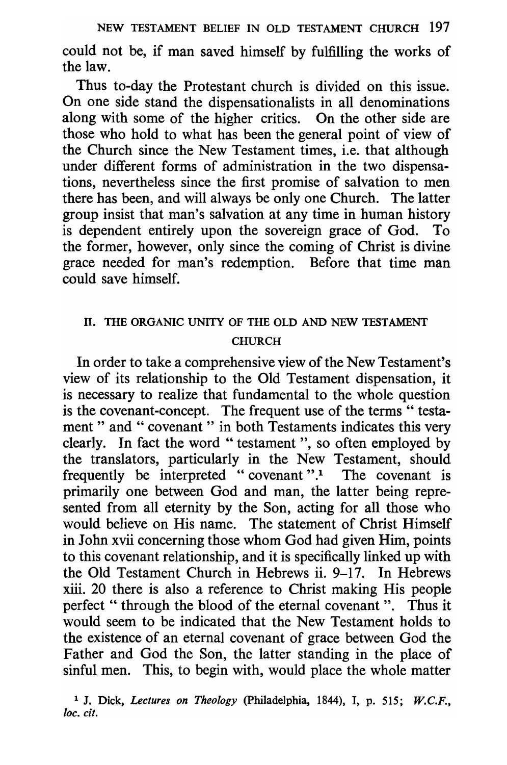could not be, if man saved himself by fulfilling the works of the law.

Thus to-day the Protestant church is divided on this issue. On one side stand the dispensationalists in all denominations along with some of the higher critics. On the other side are those who hold to what has been the general point of view of the Church since the New Testament times, i.e. that although under different forms of administration in the two dispensations, nevertheless since the first promise of salvation to men there has been, and will always be only one Church. The latter group insist that man's salvation at any time in human history is dependent entirely upon the sovereign grace of God. To the former, however, only since the coming of Christ is divine grace needed for man's redemption. Before that time man could save himself.

# 11. THE ORGANIC UNITY OF THE OLD AND NEW TESTAMENT CHURCH

In order to take a comprehensive view of the New Testament's view of its relationship to the Old Testament dispensation, it is necessary to realize that fundamental to the whole question is the covenant-concept. The frequent use of the terms " testament" and " covenant" in both Testaments indicates this very clearly. In fact the word "testament", so often employed by the translators, particularly in the New Testament, should frequently be interpreted "covenant ".1 The covenant is primarily one between God and man, the latter being represented from all eternity by the Son, acting for all those who would believe on His name. The statement of Christ Himself in John xvii concerning those whom God had given Him, points to this covenant relationship, and it is specifically linked up with the Old Testament Church in Hebrews ii. 9-17. In Hebrews xiii. 20 there is also a reference to Christ making His people perfect " through the blood of the eternal covenant". Thus it would seem to be indicated that the New Testament holds to the existence of an eternal covenant of grace between God the Father and God the Son, the latter standing in the place of sinful men. This, to begin with, would place the whole matter

<sup>1</sup> J. Dick, *Lectures on Theology* (philadelphia, 1844), I, p. 515; *W.C.F.,*  loc. cit.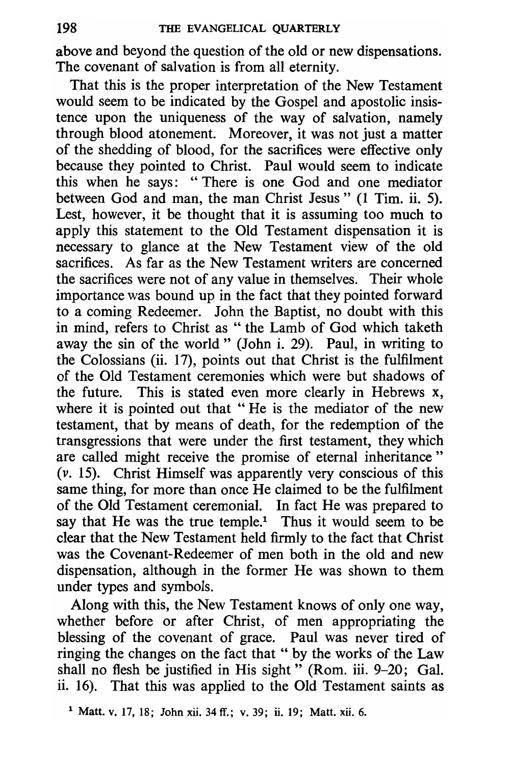above and beyond the question of the old or new dispensations. The covenant of salvation is from all eternity.

That this is the proper interpretation of the New Testament would seem to be indicated by the Gospel and apostolic insistence upon the uniqueness of the way of salvation, namely through blood atonement. Moreover, it was not just a matter of the shedding of blood, for the sacrifices were effective only because they pointed to Christ. Paul would seem to indicate this when he says: "There is one God and one mediator between God and man, the man Christ Jesus" (1 Tim. ii. 5). Lest, however, it be thought that it is assuming too much to apply this statement to the Old Testament dispensation it is necessary to glance at the New Testament view of the old sacrifices. As far as the New Testament writers are concerned the sacrifices were not of any value in themselves. Their whole importance was bound up in the fact that they pointed forward to a coming Redeemer. John the Baptist, no doubt with this in mind, refers to Christ as " the Lamb of God which taketh away the sin of the world" (John i. 29). Paul, in writing to the Colossians (ii. 17), points out that Christ is the fulfilment of the Old Testament ceremonies which were but shadows of the future. This is stated even more clearly in Hebrews x, where it is pointed out that "He is the mediator of the new testament, that by means of death, for the redemption of the transgressions that were under the first testament, they which are called might receive the promise of eternal inheritance" (v. 15). Christ Himself was apparently very conscious of this same thing, for more than once He claimed to be the fulfilment of the Old Testament ceremonial. In fact He was prepared to say that He was the true temple.<sup>1</sup> Thus it would seem to be clear that the New Testament held firmly to the fact that Christ was the Covenant-Redeemer of men both in the old and new dispensation, although in the former He was shown to them under types and symbols.

Along with this, the New Testament knows of only one way, whether before or after Christ, of men appropriating the blessing of the covenant of grace. Paul was never tired of ringing the changes on the fact that "by the works of the Law shall no flesh be justified in His sight" (Rom. iii. 9-20; Gal. ii. 16). That this was applied to the Old Testament saints as

<sup>&</sup>lt;sup>1</sup> Matt. v. 17, 18; John xii. 34 ff.; v. 39; ii. 19; Matt. xii. 6.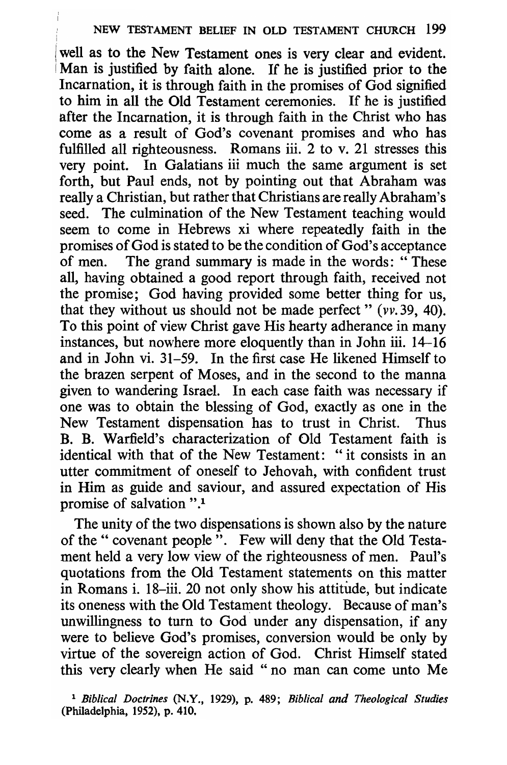### NEW TESTAMENT BELIEF IN OLD TESTAMENT CHURCH 199

well as to the New Testament ones is very clear and evident. Man is justified by faith alone. If he is justified prior to the Incarnation, it is through faith in the promises of God signified to him in all the Old Testament ceremonies. If he is justified after the Incarnation, it is through faith in the Christ who has come as a result of God's covenant promises and who has fulfilled all righteousness. Romans iii. 2 to v. 21 stresses this very point. In Galatians iii much the same argument is set forth, but Paul ends, not by pointing out that Abraham was really a Christian, but rather that Christians are really Abraham's seed. The culmination of the New Testament teaching would seem to come in Hebrews xi where repeatedly faith in the promises of God is stated to be the condition of God's acceptance of men. The grand summary is made in the words: "These all, having obtained a good report through faith, received not the promise; God having provided some better thing for us, that they without us should not be made perfect"  $(vv.39, 40)$ . To this point of view Christ gave His hearty adherance in many instances, but nowhere more eloquently than in John iii. 14-16 and in John vi. 31-59. In the first case He likened Himself to the brazen serpent of Moses, and in the second to the manna given to wandering Israel. In each case faith was necessary if one was to obtain the blessing of God, exactly as one in the New Testament dispensation has to trust in Christ. Thus B. B. Warfield's characterization of Old Testament faith is identical with that of the New Testament: "it consists in an utter commitment of oneself to Jehovah, with confident trust in Him as guide and saviour, and assured expectation of His promise of salvation ".1

The unity of the two dispensations is shown also by the nature of the " covenant people". Few will deny that the Old Testament held a very low view of the righteousness of men. Paul's quotations from the Old Testament statements on this matter in Romans i. 18-iii. 20 not only show his attitude, but indicate its oneness with the Old Testament theology. Because of man's unwillingness to turn to God under any dispensation, if any were to believe God's promises, conversion would be only by virtue of the sovereign action of God. Christ Himself stated this very clearly when He said "no man can come unto Me

<sup>1</sup>*Biblical Doctrines* (N.Y., 1929), p. 489; *Biblical and Theological Studies*  (Philadelphia, 1952), p. 410.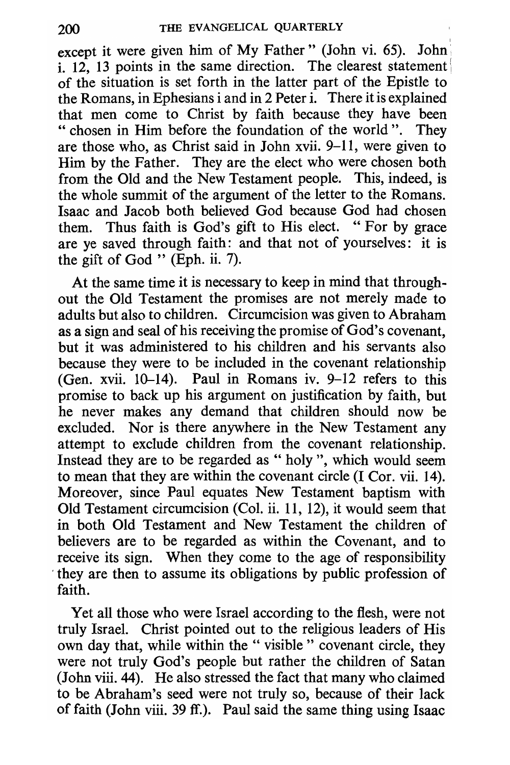I

except it were given him of My Father" (John vi. 65). John i. 12, 13 points in the same direction. The clearest statement of the situation is set forth in the latter part of the Epistle to the Romans, in Ephesians i and in 2 Peter i. There it is explained that men come to Christ by faith because they have been " chosen in Him before the foundation of the world". They are those who, as Christ said in John xvii. 9-11, were given to Him by the Father. They are the elect who were chosen both from the Old and the New Testament people. This, indeed, is the whole summit of the argument of the letter to the Romans. Isaac and Jacob both believed God because God had chosen them. Thus faith is God's gift to His elect. "For by grace are ye saved through faith: and that not of yourselves: it is the gift of God " (Eph. ii. 7).

At the same time it is necessary to keep in mind that throughout the Old Testament the promises are not merely made to adults but also to children. Circumcision was given to Abraham as a sign and seal of his receiving the promise of God's covenant, but it was administered to his children and his servants also because they were to be included in the covenant relationship (Gen. xvii.  $10-14$ ). Paul in Romans iv.  $9-12$  refers to this promise to back up his argument on justification by faith, but he never makes any demand that children should now be excluded. Nor is there anywhere in the New Testament any attempt to exclude children from the covenant relationship. Instead they are to be regarded as " holy", which would seem to mean that they are within the covenant circle (I Cor. vii. 14). Moreover, since Paul equates New Testament baptism with Old Testament circumcision (Col. ii. 11, 12), it would seem that in both Old Testament and New Testament the children of believers are to be regarded as within the Covenant, and to receive its sign. When they come to the age of responsibility . they are then to assume its obligations by public profession of faith.

Yet all those who were Israel according to the flesh, were not truly Israel. Christ pointed out to the religious leaders of His own day that, while within the " visible" covenant circle, they were not truly God's people but rather the children of Satan (John viii. 44). He also stressed the fact that many who claimed to be Abraham's seed were not truly so, because of their lack of faith (John viii. 39 ff.). Paul said the same thing using Isaac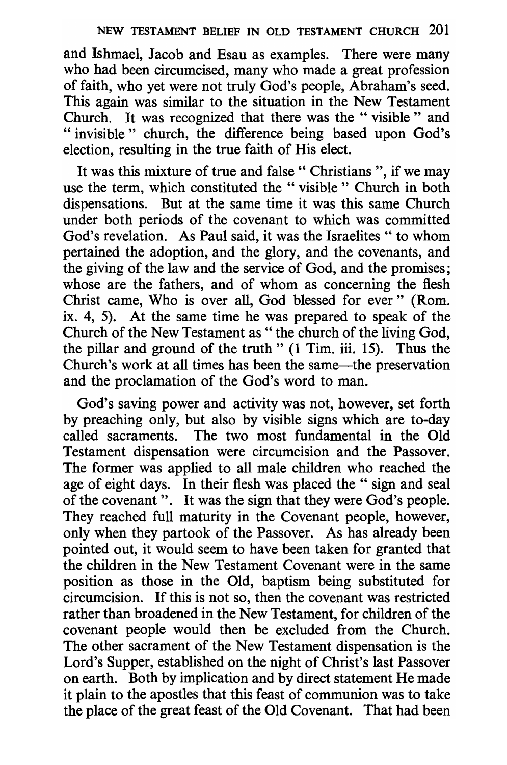and Ishmael, Jacob and Esau as examples. There were many who had been circumcised, many who made a great profession of faith, who yet were not truly God's people, Abraham's seed. This again was similar to the situation in the New Testament Church. It was recognized that there was the " visible" and " invisible " church, the difference being based upon God's election, resulting in the true faith of His elect.

It was this mixture of true and false" Christians", if we may use the term, which constituted the "visible " Church in both dispensations. But at the same time it was this same Church under both periods of the covenant to which was committed God's revelation. As Paul said, it was the Israelites " to whom pertained the adoption, and the glory, and the covenants, and the giving of the law and the service of God, and the promises; whose are the fathers, and of whom as concerning the flesh Christ came, Who is over all, God blessed for ever" (Rom. ix. 4, 5). At the same time he was prepared to speak of the Church of the New Testament as " the church of the living God, the pillar and ground of the truth"  $(1 \text{ Tim. iii. } 15)$ . Thus the Church's work at all times has been the same-the preservation and the proclamation of the God's word to man.

God's saving power and activity was not, however, set forth by preaching only, but also by visible signs which are to-day called sacraments. The two most fundamental in the Old Testament dispensation were circumcision and the Passover. The former was applied to all male children who reached the age of eight days. In their flesh was placed the " sign and seal of the covenant". It was the sign that they were God's people. They reached full maturity in the Covenant people, however, only when they partook of the Passover. As has already been pointed out, it would seem to have been taken for granted that the children in the New Testament Covenant were in the same position as those in the Old, baptism being substituted for circumcision. If this is not so, then the covenant was restricted rather than broadened in the New Testament, for children of the covenant people would then be excluded from the Church. The other sacrament of the New Testament dispensation is the Lord's Supper, established on the night of Christ's last Passover on earth. Both by implication and by direct statement He made it plain to the apostles that this feast of communion was to take the place of the great feast of the Old Covenant. That had been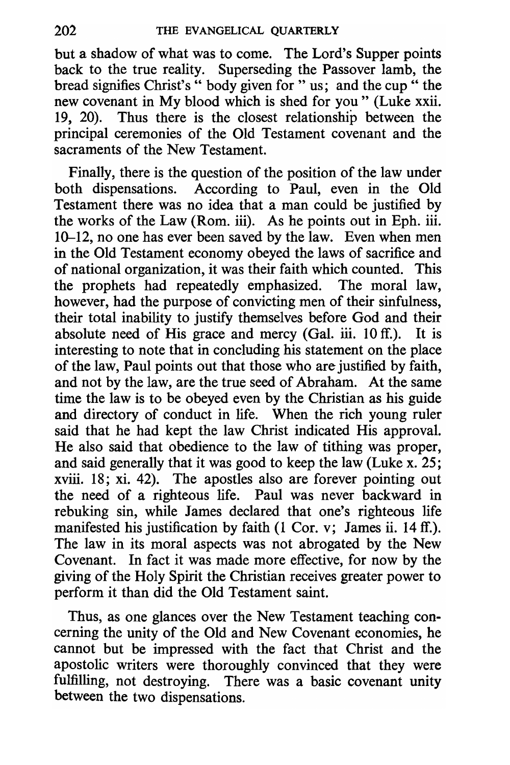but a shadow of what was to come. The Lord's Supper points back to the true reality. Superseding the Passover lamb, the bread signifies Christ's " body given for " us; and the cup " the new covenant in My blood which is shed for you" (Luke xxii. 19, 20). Thus there is the closest relationship between the principal ceremonies of the Old Testament covenant and the sacraments of the New Testament.

Finally, there is the question of the position of the law under both dispensations. According to Paul, even in the Old Testament there was no idea that a man could be justified by the works of the Law (Rom. iii). As he points out in Eph. iii.  $10-12$ , no one has ever been saved by the law. Even when men in the Old Testament economy obeyed the laws of sacrifice and of national organization, it was their faith which counted. This the prophets had repeatedly emphasized. The moral law, however, had the purpose of convicting men of their sinfulness, their total inability to justify themselves before God and their absolute need of His grace and mercy (Gal. iii. 10 ff.). It is interesting to note that in concluding his statement on the place of the law, Paul points out that those who are justified by faith, and not by the law, are the true seed of Abraham. At the same time the law is to be obeyed even by the Christian as his guide and directory of conduct in life. When the rich young ruler said that he had kept the law Christ indicated His approval. He also said that obedience to the law of tithing was proper, and said generally that it was good to keep the law (Luke x. 25; xviii. 18; xi. 42). The apostles also are forever pointing out the need of a righteous life. Paul was never backward in rebuking sin, while James declared that one's righteous life manifested his justification by faith (1 Cor. v; James ii. 14 ff.). The law in its moral aspects was not abrogated by the New Covenant. In fact it was made more effective, for now by the giving of the Holy Spirit the Christian receives greater power to perform it than did the Old Testament saint.

Thus, as one glances over the New Testament teaching concerning the unity of the Old and New Covenant economies, he cannot but be impressed with the fact that Christ and the apostolic writers were thoroughly convinced that they were fulfilling, not destroying. There was a basic covenant unity between the two dispensations.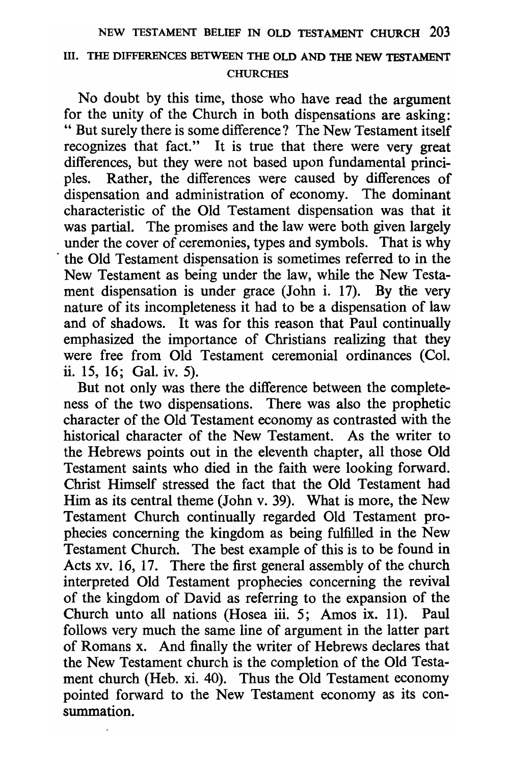### Ill. THE DIFFERENCES BETWEEN THE OLD AND THE NEW TESTAMENT **CHURCHES**

No doubt by this time, those who have read the argument for the unity of the Church in both dispensations are asking: " But surely there is some difference? The New Testament itself recognizes that fact." It is true that there were very great differences, but they were not based upon fundamental principles. Rather, the differences were caused by differences of dispensation and administration of economy. The dominant characteristic of the Old Testament dispensation was that it was partial. The promises and the law were both given largely under the cover of ceremonies, types and symbols. That is why . the Old Testament dispensation is sometimes referred to in the New Testament as being under the law, while the New Testament dispensation is under grace (John i. 17). By the very nature of its incompleteness it had to be a dispensation of law and of shadows. It was for this reason that Paul continually emphasized the importance of Christians realizing that they were free from Old Testament ceremonial ordinances (Col. ii. 15, 16; Gal. iv. 5).

But not only was there the difference between the completeness of the two dispensations. There was also the prophetic character of the Old Testament economy as contrasted with the historical character of the New Testament. As the writer to the Hebrews points out in the eleventh chapter, all those Old Testament saints who died in the faith were looking forward. Christ Himself stressed the fact that the Old Testament had Him as its central theme (John v. 39). What is more, the New Testament Church continually regarded Old Testament prophecies concerning the kingdom as being fu1fi11ed in the New Testament Church. The best example of this is to be found in Acts xv. 16, 17. There the first general assembly of the church interpreted Old Testament prophecies concerning the revival of the kingdom of David as referring to the expansion of the Church unto all nations (Hosea iii. 5; Amos ix. 11). Paul follows very much the same line of argument in the latter part of Romans x. And finally the writer of Hebrews declares that the New Testament church is the completion of the Old Testament church (Heb. xi. 40). Thus the Old Testament economy pointed forward to the New Testament economy as its consummation.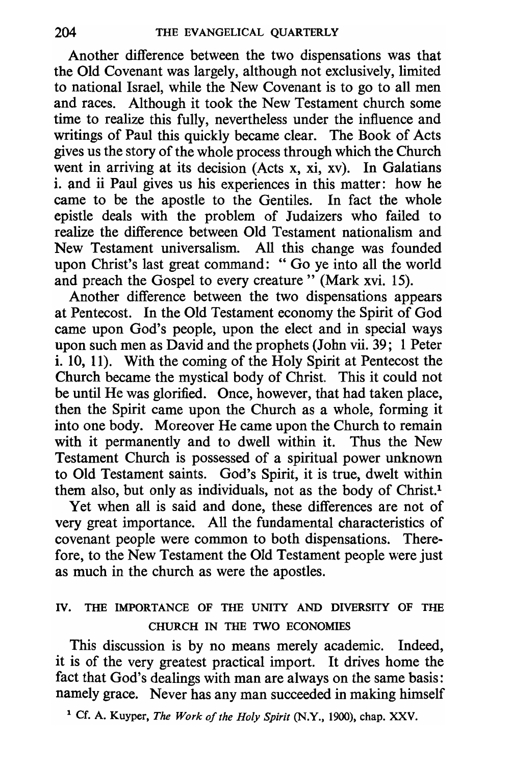Another difference between the two dispensations was that the Old Covenant was largely, although not exclusively, limited to national Israel, while the New Covenant is to go to all men and races. Although it took the New Testament church some time to realize this fully, nevertheless under the influence and writings of Paul this quickly became clear. The Book of Acts gives us the story of the whole process through which the Church went in arriving at its decision (Acts x, xi, xv). In Galatians i. and ii Paul gives us his experiences in this matter: how he came to be the apostle to the Gentiles. In fact the whole epistle deals with the problem of Judaizers who failed to realize the difference between Old Testament nationalism and New Testament universalism. All this change was founded upon Christ's last great command: "Go ye into all the world and preach the Gospel to every creature" (Mark xvi. 15).

Another difference between the two dispensations appears at Pentecost. In the Old Testament economy the Spirit of God came upon God's people, upon the elect and in special ways upon such men as David and the prophets (John vii. 39; 1 Peter i. 10, 11). With the coming of the Holy Spirit at Pentecost the Church became the mystical body of Christ. This it could not be until He was glorified. Once, however, that had taken place, then the Spirit came upon the Church as a whole, forming it into one body. Moreover He came upon the Church to remain with it permanently and to dwell within it. Thus the New Testament Church is possessed of a spiritual power unknown to Old Testament saints. God's Spirit, it is true, dwelt within them also, but only as individuals, not as the body of Christ.<sup>1</sup>

Yet when all is said and done, these differences are not of very great importance. All the fundamental characteristics of covenant people were common to both dispensations. Therefore, to the New Testament the Old Testament people were just as much in the church as were the apostles.

## IV. THE IMPORTANCE OF THE UNITY AND DIVERSITY OF THE CHURCH IN THE TWO ECONOMIES

This discussion is by no means merely academic. Indeed, it is of the very greatest practical import. It drives home the fact that God's dealings with man are always on the same basis: namely grace. Never has any man succeeded in making himself

1 Cf. A. Kuyper, *The Work of the Holy Spirit* (N.Y., 1900), chap. XXV.